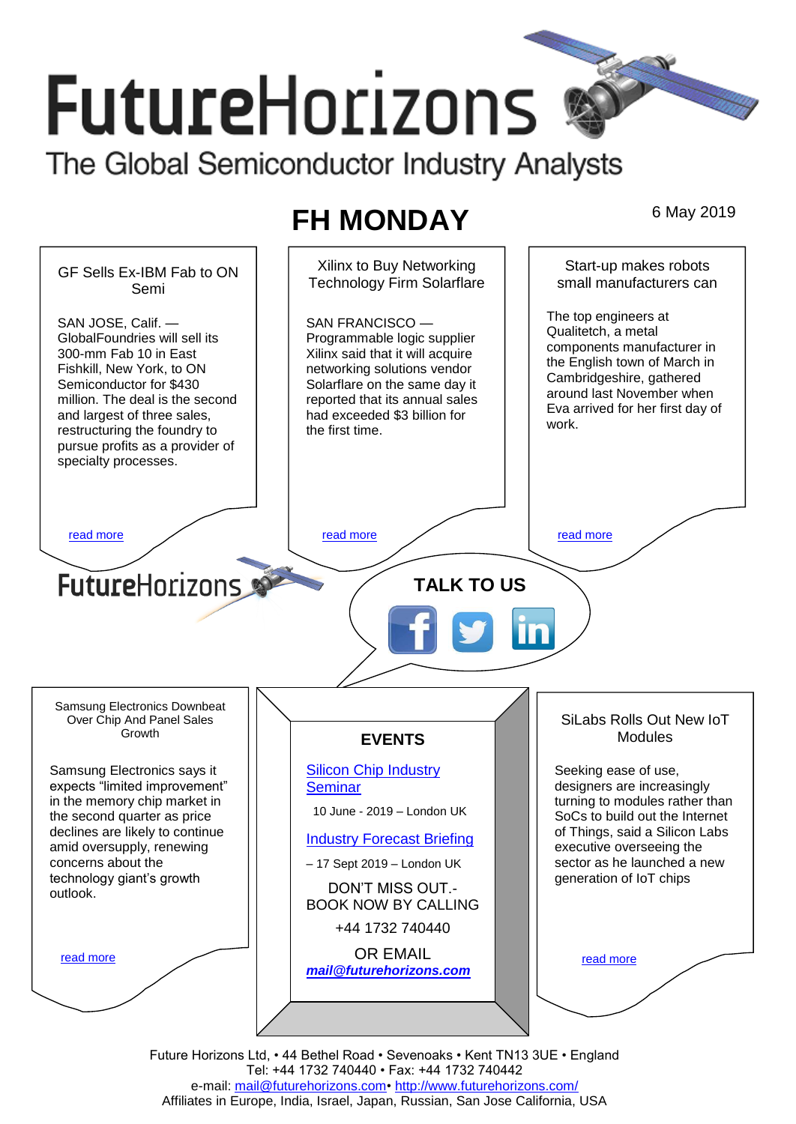# **FutureHorizons**

The Global Semiconductor Industry Analysts

## **FH MONDAY** 6 May 2019



Tel: +44 1732 740440 • Fax: +44 1732 740442 e-mail: [mail@futurehorizons.com•](../FH%20Monday%20-%202017/mail@futurehorizons.com)<http://www.futurehorizons.com/> Affiliates in Europe, India, Israel, Japan, Russian, San Jose California, USA